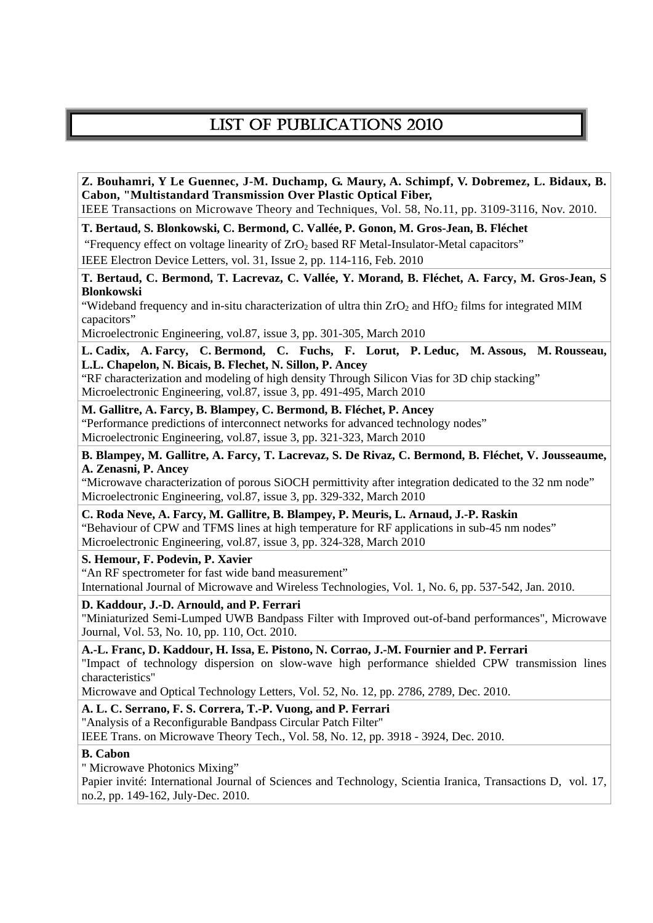# LIST OF PUBLICATIONS 2010

**Z. Bouhamri, Y Le Guennec, J-M. Duchamp, G. Maury, A. Schimpf, V. Dobremez, L. Bidaux, B. Cabon, "Multistandard Transmission Over Plastic Optical Fiber,** 

IEEE Transactions on Microwave Theory and Techniques, Vol. 58, No.11, pp. 3109-3116, Nov. 2010.

**T. Bertaud, S. Blonkowski, C. Bermond, C. Vallée, P. Gonon, M. Gros-Jean, B. Fléchet** 

"Frequency effect on voltage linearity of  $ZrO<sub>2</sub>$  based RF Metal-Insulator-Metal capacitors"

IEEE Electron Device Letters, vol. 31, Issue 2, pp. 114-116, Feb. 2010

**T. Bertaud, C. Bermond, T. Lacrevaz, C. Vallée, Y. Morand, B. Fléchet, A. Farcy, M. Gros-Jean, S Blonkowski** 

"Wideband frequency and in-situ characterization of ultra thin  $ZrO<sub>2</sub>$  and  $HfO<sub>2</sub>$  films for integrated MIM capacitors"

Microelectronic Engineering, vol.87, issue 3, pp. 301-305, March 2010

**L. Cadix, A. Farcy, C. Bermond, C. Fuchs, F. Lorut, P. Leduc, M. Assous, M. Rousseau, L.L. Chapelon, N. Bicais, B. Flechet, N. Sillon, P. Ancey** 

"RF characterization and modeling of high density Through Silicon Vias for 3D chip stacking" Microelectronic Engineering, vol.87, issue 3, pp. 491-495, March 2010

**M. Gallitre, A. Farcy, B. Blampey, C. Bermond, B. Fléchet, P. Ancey** 

"Performance predictions of interconnect networks for advanced technology nodes" Microelectronic Engineering, vol.87, issue 3, pp. 321-323, March 2010

**B. Blampey, M. Gallitre, A. Farcy, T. Lacrevaz, S. De Rivaz, C. Bermond, B. Fléchet, V. Jousseaume, A. Zenasni, P. Ancey** 

"Microwave characterization of porous SiOCH permittivity after integration dedicated to the 32 nm node" Microelectronic Engineering, vol.87, issue 3, pp. 329-332, March 2010

**C. Roda Neve, A. Farcy, M. Gallitre, B. Blampey, P. Meuris, L. Arnaud, J.-P. Raskin** 

"Behaviour of CPW and TFMS lines at high temperature for RF applications in sub-45 nm nodes" Microelectronic Engineering, vol.87, issue 3, pp. 324-328, March 2010

**S. Hemour, F. Podevin, P. Xavier** 

"An RF spectrometer for fast wide band measurement"

International Journal of Microwave and Wireless Technologies, Vol. 1, No. 6, pp. 537-542, Jan. 2010.

# **D. Kaddour, J.-D. Arnould, and P. Ferrari**

"Miniaturized Semi-Lumped UWB Bandpass Filter with Improved out-of-band performances", Microwave Journal, Vol. 53, No. 10, pp. 110, Oct. 2010.

**A.-L. Franc, D. Kaddour, H. Issa, E. Pistono, N. Corrao, J.-M. Fournier and P. Ferrari** 

"Impact of technology dispersion on slow-wave high performance shielded CPW transmission lines characteristics"

Microwave and Optical Technology Letters, Vol. 52, No. 12, pp. 2786, 2789, Dec. 2010.

**A. L. C. Serrano, F. S. Correra, T.-P. Vuong, and P. Ferrari** 

"Analysis of a Reconfigurable Bandpass Circular Patch Filter"

IEEE Trans. on Microwave Theory Tech., Vol. 58, No. 12, pp. 3918 - 3924, Dec. 2010.

# **B. Cabon**

" Microwave Photonics Mixing"

Papier invité: International Journal of Sciences and Technology, Scientia Iranica, Transactions D, vol. 17, no.2, pp. 149-162, July-Dec. 2010.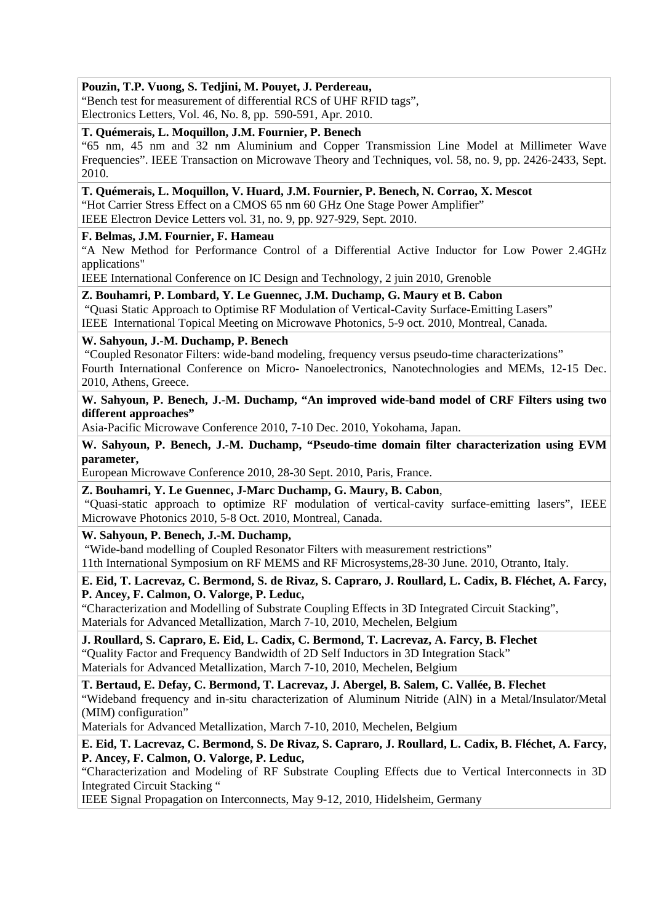# **Pouzin, T.P. Vuong, S. Tedjini, M. Pouyet, J. Perdereau,**

"Bench test for measurement of differential RCS of UHF RFID tags", Electronics Letters, Vol. 46, No. 8, pp. 590-591, Apr. 2010.

# **T. Quémerais, L. Moquillon, J.M. Fournier, P. Benech**

"65 nm, 45 nm and 32 nm Aluminium and Copper Transmission Line Model at Millimeter Wave Frequencies". IEEE Transaction on Microwave Theory and Techniques, vol. 58, no. 9, pp. 2426-2433, Sept. 2010.

# **T. Quémerais, L. Moquillon, V. Huard, J.M. Fournier, P. Benech, N. Corrao, X. Mescot**

"Hot Carrier Stress Effect on a CMOS 65 nm 60 GHz One Stage Power Amplifier"

IEEE Electron Device Letters vol. 31, no. 9, pp. 927-929, Sept. 2010.

# **F. Belmas, J.M. Fournier, F. Hameau**

"A New Method for Performance Control of a Differential Active Inductor for Low Power 2.4GHz applications"

IEEE International Conference on IC Design and Technology, 2 juin 2010, Grenoble

# **Z. Bouhamri, P. Lombard, Y. Le Guennec, J.M. Duchamp, G. Maury et B. Cabon**

 "Quasi Static Approach to Optimise RF Modulation of Vertical-Cavity Surface-Emitting Lasers" IEEE International Topical Meeting on Microwave Photonics, 5-9 oct. 2010, Montreal, Canada.

# **W. Sahyoun, J.-M. Duchamp, P. Benech**

 "Coupled Resonator Filters: wide-band modeling, frequency versus pseudo-time characterizations" Fourth International Conference on Micro- Nanoelectronics, Nanotechnologies and MEMs, 12-15 Dec. 2010, Athens, Greece.

# **W. Sahyoun, P. Benech, J.-M. Duchamp, "An improved wide-band model of CRF Filters using two different approaches"**

Asia-Pacific Microwave Conference 2010, 7-10 Dec. 2010, Yokohama, Japan.

# **W. Sahyoun, P. Benech, J.-M. Duchamp, "Pseudo-time domain filter characterization using EVM parameter,**

European Microwave Conference 2010, 28-30 Sept. 2010, Paris, France.

## **Z. Bouhamri, Y. Le Guennec, J-Marc Duchamp, G. Maury, B. Cabon**,

 "Quasi-static approach to optimize RF modulation of vertical-cavity surface-emitting lasers", IEEE Microwave Photonics 2010, 5-8 Oct. 2010, Montreal, Canada.

# **W. Sahyoun, P. Benech, J.-M. Duchamp,**

 "Wide-band modelling of Coupled Resonator Filters with measurement restrictions" 11th International Symposium on RF MEMS and RF Microsystems,28-30 June. 2010, Otranto, Italy.

**E. Eid, T. Lacrevaz, C. Bermond, S. de Rivaz, S. Capraro, J. Roullard, L. Cadix, B. Fléchet, A. Farcy, P. Ancey, F. Calmon, O. Valorge, P. Leduc,** 

"Characterization and Modelling of Substrate Coupling Effects in 3D Integrated Circuit Stacking", Materials for Advanced Metallization, March 7-10, 2010, Mechelen, Belgium

**J. Roullard, S. Capraro, E. Eid, L. Cadix, C. Bermond, T. Lacrevaz, A. Farcy, B. Flechet**  "Quality Factor and Frequency Bandwidth of 2D Self Inductors in 3D Integration Stack" Materials for Advanced Metallization, March 7-10, 2010, Mechelen, Belgium

**T. Bertaud, E. Defay, C. Bermond, T. Lacrevaz, J. Abergel, B. Salem, C. Vallée, B. Flechet**  "Wideband frequency and in-situ characterization of Aluminum Nitride (AlN) in a Metal/Insulator/Metal (MIM) configuration"

Materials for Advanced Metallization, March 7-10, 2010, Mechelen, Belgium

**E. Eid, T. Lacrevaz, C. Bermond, S. De Rivaz, S. Capraro, J. Roullard, L. Cadix, B. Fléchet, A. Farcy, P. Ancey, F. Calmon, O. Valorge, P. Leduc,** 

"Characterization and Modeling of RF Substrate Coupling Effects due to Vertical Interconnects in 3D Integrated Circuit Stacking "

IEEE Signal Propagation on Interconnects, May 9-12, 2010, Hidelsheim, Germany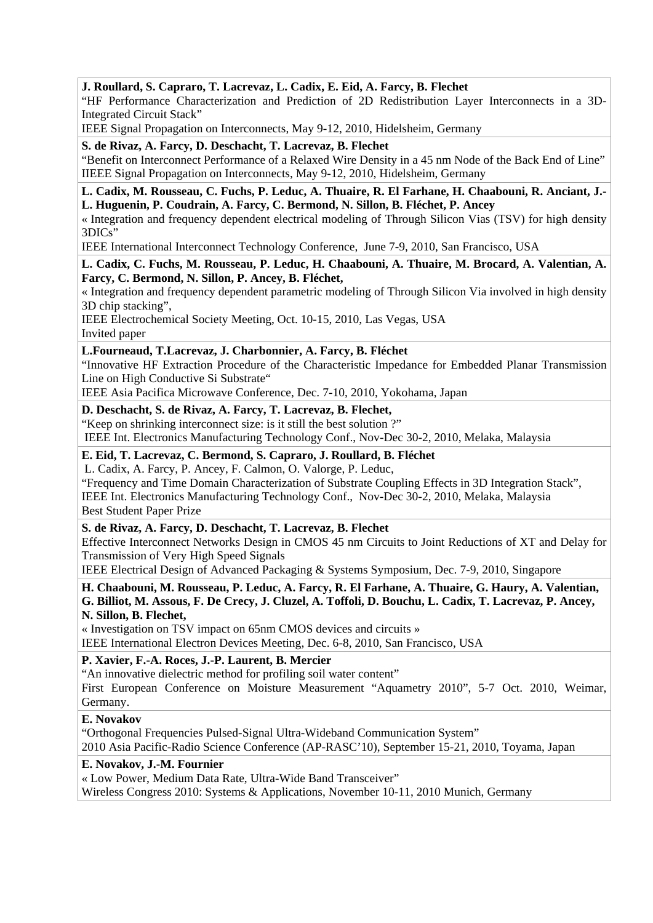# **J. Roullard, S. Capraro, T. Lacrevaz, L. Cadix, E. Eid, A. Farcy, B. Flechet**

"HF Performance Characterization and Prediction of 2D Redistribution Layer Interconnects in a 3D-Integrated Circuit Stack"

IEEE Signal Propagation on Interconnects, May 9-12, 2010, Hidelsheim, Germany

## **S. de Rivaz, A. Farcy, D. Deschacht, T. Lacrevaz, B. Flechet**

"Benefit on Interconnect Performance of a Relaxed Wire Density in a 45 nm Node of the Back End of Line" IIEEE Signal Propagation on Interconnects, May 9-12, 2010, Hidelsheim, Germany

#### **L. Cadix, M. Rousseau, C. Fuchs, P. Leduc, A. Thuaire, R. El Farhane, H. Chaabouni, R. Anciant, J.- L. Huguenin, P. Coudrain, A. Farcy, C. Bermond, N. Sillon, B. Fléchet, P. Ancey**

« Integration and frequency dependent electrical modeling of Through Silicon Vias (TSV) for high density 3DICs"

IEEE International Interconnect Technology Conference, June 7-9, 2010, San Francisco, USA

# **L. Cadix, C. Fuchs, M. Rousseau, P. Leduc, H. Chaabouni, A. Thuaire, M. Brocard, A. Valentian, A. Farcy, C. Bermond, N. Sillon, P. Ancey, B. Fléchet,**

« Integration and frequency dependent parametric modeling of Through Silicon Via involved in high density 3D chip stacking",

IEEE Electrochemical Society Meeting, Oct. 10-15, 2010, Las Vegas, USA Invited paper

# **L.Fourneaud, T.Lacrevaz, J. Charbonnier, A. Farcy, B. Fléchet**

"Innovative HF Extraction Procedure of the Characteristic Impedance for Embedded Planar Transmission Line on High Conductive Si Substrate"

IEEE Asia Pacifica Microwave Conference, Dec. 7-10, 2010, Yokohama, Japan

# **D. Deschacht, S. de Rivaz, A. Farcy, T. Lacrevaz, B. Flechet,**

"Keep on shrinking interconnect size: is it still the best solution ?" IEEE Int. Electronics Manufacturing Technology Conf., Nov-Dec 30-2, 2010, Melaka, Malaysia

#### **E. Eid, T. Lacrevaz, C. Bermond, S. Capraro, J. Roullard, B. Fléchet**

L. Cadix, A. Farcy, P. Ancey, F. Calmon, O. Valorge, P. Leduc,

"Frequency and Time Domain Characterization of Substrate Coupling Effects in 3D Integration Stack", IEEE Int. Electronics Manufacturing Technology Conf., Nov-Dec 30-2, 2010, Melaka, Malaysia Best Student Paper Prize

## **S. de Rivaz, A. Farcy, D. Deschacht, T. Lacrevaz, B. Flechet**

Effective Interconnect Networks Design in CMOS 45 nm Circuits to Joint Reductions of XT and Delay for Transmission of Very High Speed Signals

IEEE Electrical Design of Advanced Packaging & Systems Symposium, Dec. 7-9, 2010, Singapore

# **H. Chaabouni, M. Rousseau, P. Leduc, A. Farcy, R. El Farhane, A. Thuaire, G. Haury, A. Valentian, G. Billiot, M. Assous, F. De Crecy, J. Cluzel, A. Toffoli, D. Bouchu, L. Cadix, T. Lacrevaz, P. Ancey, N. Sillon, B. Flechet,**

« Investigation on TSV impact on 65nm CMOS devices and circuits »

IEEE International Electron Devices Meeting, Dec. 6-8, 2010, San Francisco, USA

# **P. Xavier, F.-A. Roces, J.-P. Laurent, B. Mercier**

"An innovative dielectric method for profiling soil water content"

First European Conference on Moisture Measurement "Aquametry 2010", 5-7 Oct. 2010, Weimar, Germany.

## **E. Novakov**

"Orthogonal Frequencies Pulsed-Signal Ultra-Wideband Communication System"

2010 Asia Pacific-Radio Science Conference (AP-RASC'10), September 15-21, 2010, Toyama, Japan

# **E. Novakov, J.-M. Fournier**

« Low Power, Medium Data Rate, Ultra-Wide Band Transceiver"

Wireless Congress 2010: Systems & Applications, November 10-11, 2010 Munich, Germany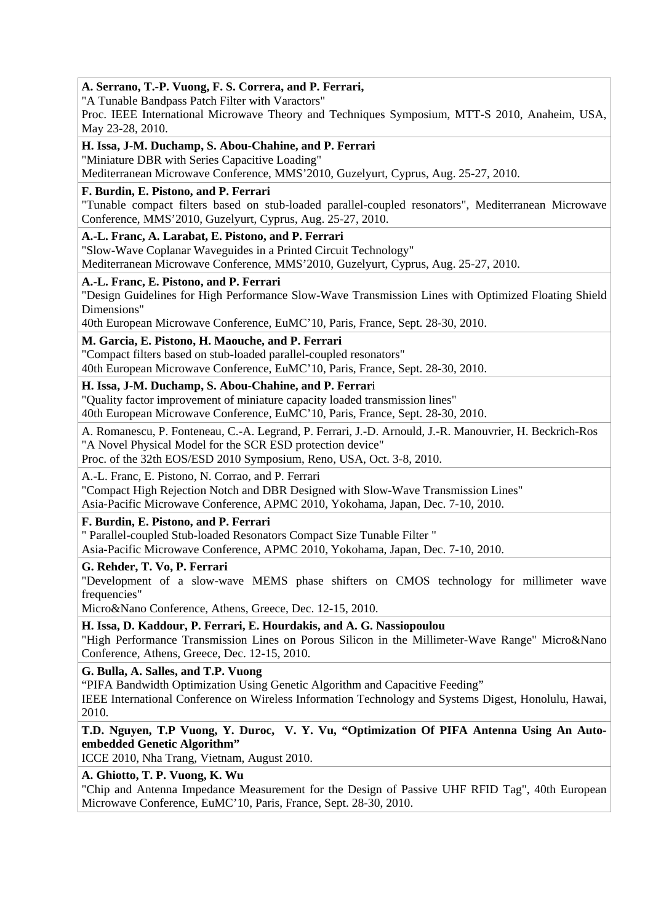# **A. Serrano, T.-P. Vuong, F. S. Correra, and P. Ferrari,**

"A Tunable Bandpass Patch Filter with Varactors"

Proc. IEEE International Microwave Theory and Techniques Symposium, MTT-S 2010, Anaheim, USA, May 23-28, 2010.

## **H. Issa, J-M. Duchamp, S. Abou-Chahine, and P. Ferrari**

"Miniature DBR with Series Capacitive Loading"

Mediterranean Microwave Conference, MMS'2010, Guzelyurt, Cyprus, Aug. 25-27, 2010.

## **F. Burdin, E. Pistono, and P. Ferrari**

"Tunable compact filters based on stub-loaded parallel-coupled resonators", Mediterranean Microwave Conference, MMS'2010, Guzelyurt, Cyprus, Aug. 25-27, 2010.

# **A.-L. Franc, A. Larabat, E. Pistono, and P. Ferrari**

"Slow-Wave Coplanar Waveguides in a Printed Circuit Technology" Mediterranean Microwave Conference, MMS'2010, Guzelyurt, Cyprus, Aug. 25-27, 2010.

## **A.-L. Franc, E. Pistono, and P. Ferrari**

"Design Guidelines for High Performance Slow-Wave Transmission Lines with Optimized Floating Shield Dimensions"

40th European Microwave Conference, EuMC'10, Paris, France, Sept. 28-30, 2010.

# **M. Garcia, E. Pistono, H. Maouche, and P. Ferrari**

"Compact filters based on stub-loaded parallel-coupled resonators"

40th European Microwave Conference, EuMC'10, Paris, France, Sept. 28-30, 2010.

# **H. Issa, J-M. Duchamp, S. Abou-Chahine, and P. Ferrar**i

"Quality factor improvement of miniature capacity loaded transmission lines" 40th European Microwave Conference, EuMC'10, Paris, France, Sept. 28-30, 2010.

A. Romanescu, P. Fonteneau, C.-A. Legrand, P. Ferrari, J.-D. Arnould, J.-R. Manouvrier, H. Beckrich-Ros "A Novel Physical Model for the SCR ESD protection device"

Proc. of the 32th EOS/ESD 2010 Symposium, Reno, USA, Oct. 3-8, 2010.

# A.-L. Franc, E. Pistono, N. Corrao, and P. Ferrari

"Compact High Rejection Notch and DBR Designed with Slow-Wave Transmission Lines"

Asia-Pacific Microwave Conference, APMC 2010, Yokohama, Japan, Dec. 7-10, 2010.

# **F. Burdin, E. Pistono, and P. Ferrari**

" Parallel-coupled Stub-loaded Resonators Compact Size Tunable Filter "

Asia-Pacific Microwave Conference, APMC 2010, Yokohama, Japan, Dec. 7-10, 2010.

## **G. Rehder, T. Vo, P. Ferrari**

"Development of a slow-wave MEMS phase shifters on CMOS technology for millimeter wave frequencies"

Micro&Nano Conference, Athens, Greece, Dec. 12-15, 2010.

## **H. Issa, D. Kaddour, P. Ferrari, E. Hourdakis, and A. G. Nassiopoulou**

"High Performance Transmission Lines on Porous Silicon in the Millimeter-Wave Range" Micro&Nano Conference, Athens, Greece, Dec. 12-15, 2010.

# **G. Bulla, A. Salles, and T.P. Vuong**

"PIFA Bandwidth Optimization Using Genetic Algorithm and Capacitive Feeding"

IEEE International Conference on Wireless Information Technology and Systems Digest, Honolulu, Hawai, 2010.

# **T.D. Nguyen, T.P Vuong, Y. Duroc, V. Y. Vu, "Optimization Of PIFA Antenna Using An Autoembedded Genetic Algorithm"**

ICCE 2010, Nha Trang, Vietnam, August 2010.

# **A. Ghiotto, T. P. Vuong, K. Wu**

"Chip and Antenna Impedance Measurement for the Design of Passive UHF RFID Tag", 40th European Microwave Conference, EuMC'10, Paris, France, Sept. 28-30, 2010.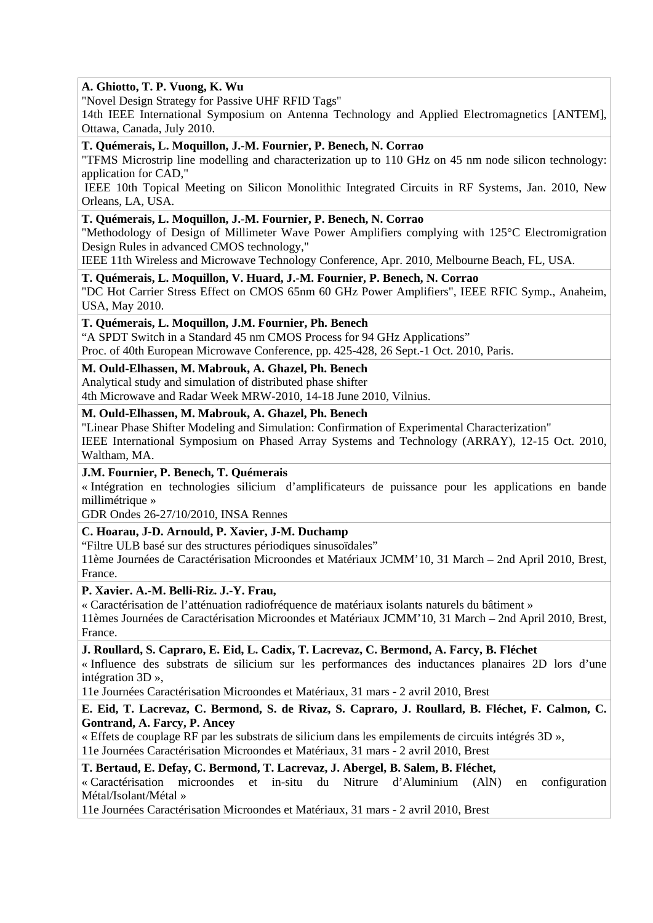# **A. Ghiotto, T. P. Vuong, K. Wu**

"Novel Design Strategy for Passive UHF RFID Tags"

14th IEEE International Symposium on Antenna Technology and Applied Electromagnetics [ANTEM], Ottawa, Canada, July 2010.

#### **T. Quémerais, L. Moquillon, J.-M. Fournier, P. Benech, N. Corrao**

"TFMS Microstrip line modelling and characterization up to 110 GHz on 45 nm node silicon technology: application for CAD,"

 IEEE 10th Topical Meeting on Silicon Monolithic Integrated Circuits in RF Systems, Jan. 2010, New Orleans, LA, USA.

#### **T. Quémerais, L. Moquillon, J.-M. Fournier, P. Benech, N. Corrao**

"Methodology of Design of Millimeter Wave Power Amplifiers complying with 125°C Electromigration Design Rules in advanced CMOS technology,"

IEEE 11th Wireless and Microwave Technology Conference, Apr. 2010, Melbourne Beach, FL, USA.

#### **T. Quémerais, L. Moquillon, V. Huard, J.-M. Fournier, P. Benech, N. Corrao**

"DC Hot Carrier Stress Effect on CMOS 65nm 60 GHz Power Amplifiers", IEEE RFIC Symp., Anaheim, USA, May 2010.

## **T. Quémerais, L. Moquillon, J.M. Fournier, Ph. Benech**

"A SPDT Switch in a Standard 45 nm CMOS Process for 94 GHz Applications"

Proc. of 40th European Microwave Conference, pp. 425-428, 26 Sept.-1 Oct. 2010, Paris.

# **M. Ould-Elhassen, M. Mabrouk, A. Ghazel, Ph. Benech**

Analytical study and simulation of distributed phase shifter 4th Microwave and Radar Week MRW-2010, 14-18 June 2010, Vilnius.

# **M. Ould-Elhassen, M. Mabrouk, A. Ghazel, Ph. Benech**

"Linear Phase Shifter Modeling and Simulation: Confirmation of Experimental Characterization" IEEE International Symposium on Phased Array Systems and Technology (ARRAY), 12-15 Oct. 2010, Waltham, MA.

## **J.M. Fournier, P. Benech, T. Quémerais**

« Intégration en technologies silicium d'amplificateurs de puissance pour les applications en bande millimétrique »

GDR Ondes 26-27/10/2010, INSA Rennes

## **C. Hoarau, J-D. Arnould, P. Xavier, J-M. Duchamp**

"Filtre ULB basé sur des structures périodiques sinusoïdales"

11ème Journées de Caractérisation Microondes et Matériaux JCMM'10, 31 March – 2nd April 2010, Brest, France.

## **P. Xavier. A.-M. Belli-Riz. J.-Y. Frau,**

« Caractérisation de l'atténuation radiofréquence de matériaux isolants naturels du bâtiment »

11èmes Journées de Caractérisation Microondes et Matériaux JCMM'10, 31 March – 2nd April 2010, Brest, France.

## **J. Roullard, S. Capraro, E. Eid, L. Cadix, T. Lacrevaz, C. Bermond, A. Farcy, B. Fléchet**

« Influence des substrats de silicium sur les performances des inductances planaires 2D lors d'une intégration 3D »,

11e Journées Caractérisation Microondes et Matériaux, 31 mars - 2 avril 2010, Brest

## **E. Eid, T. Lacrevaz, C. Bermond, S. de Rivaz, S. Capraro, J. Roullard, B. Fléchet, F. Calmon, C. Gontrand, A. Farcy, P. Ancey**

« Effets de couplage RF par les substrats de silicium dans les empilements de circuits intégrés 3D », 11e Journées Caractérisation Microondes et Matériaux, 31 mars - 2 avril 2010, Brest

## **T. Bertaud, E. Defay, C. Bermond, T. Lacrevaz, J. Abergel, B. Salem, B. Fléchet,**

« Caractérisation microondes et in-situ du Nitrure d'Aluminium (AlN) en configuration Métal/Isolant/Métal »

11e Journées Caractérisation Microondes et Matériaux, 31 mars - 2 avril 2010, Brest